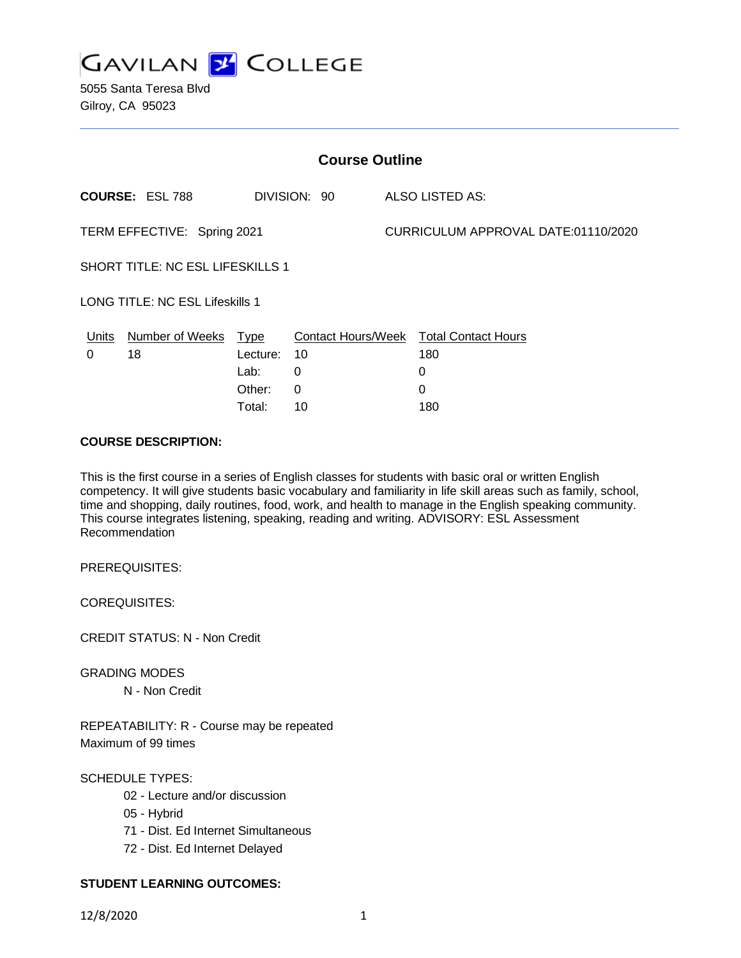

5055 Santa Teresa Blvd Gilroy, CA 95023

| <b>Course Outline</b>                  |                        |          |              |                                     |                                        |
|----------------------------------------|------------------------|----------|--------------|-------------------------------------|----------------------------------------|
|                                        | <b>COURSE: ESL 788</b> |          | DIVISION: 90 |                                     | ALSO LISTED AS:                        |
| TERM EFFECTIVE: Spring 2021            |                        |          |              | CURRICULUM APPROVAL DATE:01110/2020 |                                        |
| SHORT TITLE: NC ESL LIFESKILLS 1       |                        |          |              |                                     |                                        |
| <b>LONG TITLE: NC ESL Lifeskills 1</b> |                        |          |              |                                     |                                        |
| Units                                  | Number of Weeks Type   |          |              |                                     | Contact Hours/Week Total Contact Hours |
| 0                                      | 18                     | Lecture: | 10           |                                     | 180                                    |
|                                        |                        | Lab:     | 0            |                                     | 0                                      |
|                                        |                        | Other:   | $\Omega$     |                                     | 0                                      |
|                                        |                        | Total:   | 10           |                                     | 180                                    |

### **COURSE DESCRIPTION:**

This is the first course in a series of English classes for students with basic oral or written English competency. It will give students basic vocabulary and familiarity in life skill areas such as family, school, time and shopping, daily routines, food, work, and health to manage in the English speaking community. This course integrates listening, speaking, reading and writing. ADVISORY: ESL Assessment Recommendation

PREREQUISITES:

COREQUISITES:

CREDIT STATUS: N - Non Credit

GRADING MODES N - Non Credit

REPEATABILITY: R - Course may be repeated Maximum of 99 times

SCHEDULE TYPES:

- 02 Lecture and/or discussion
- 05 Hybrid
- 71 Dist. Ed Internet Simultaneous
- 72 Dist. Ed Internet Delayed

## **STUDENT LEARNING OUTCOMES:**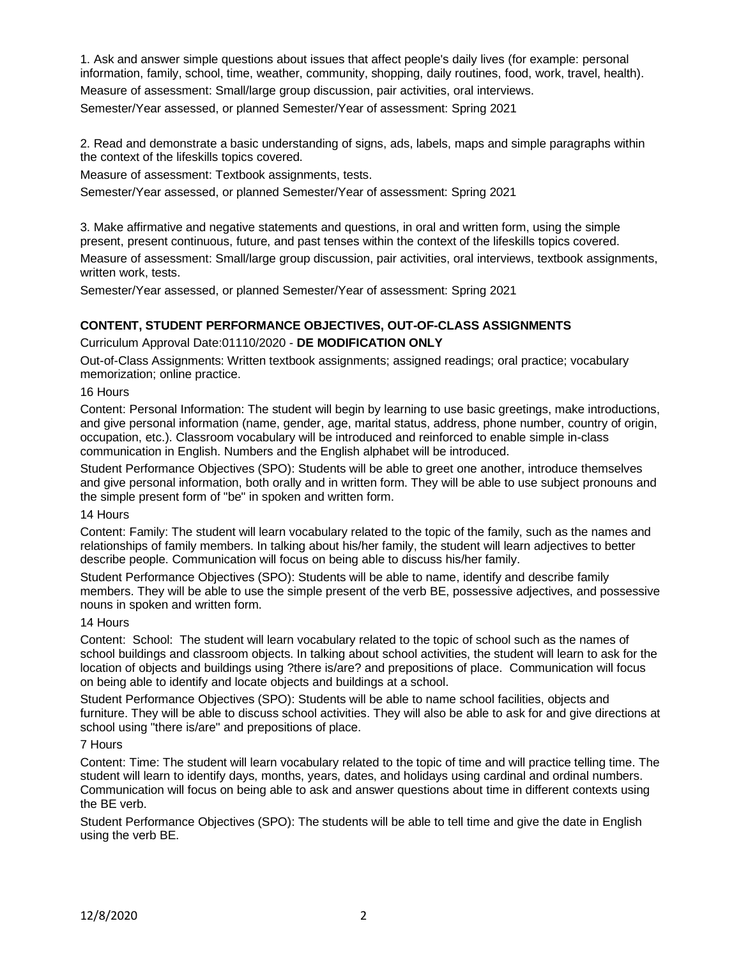1. Ask and answer simple questions about issues that affect people's daily lives (for example: personal information, family, school, time, weather, community, shopping, daily routines, food, work, travel, health). Measure of assessment: Small/large group discussion, pair activities, oral interviews.

Semester/Year assessed, or planned Semester/Year of assessment: Spring 2021

2. Read and demonstrate a basic understanding of signs, ads, labels, maps and simple paragraphs within the context of the lifeskills topics covered.

Measure of assessment: Textbook assignments, tests.

Semester/Year assessed, or planned Semester/Year of assessment: Spring 2021

3. Make affirmative and negative statements and questions, in oral and written form, using the simple present, present continuous, future, and past tenses within the context of the lifeskills topics covered. Measure of assessment: Small/large group discussion, pair activities, oral interviews, textbook assignments, written work, tests.

Semester/Year assessed, or planned Semester/Year of assessment: Spring 2021

# **CONTENT, STUDENT PERFORMANCE OBJECTIVES, OUT-OF-CLASS ASSIGNMENTS**

Curriculum Approval Date:01110/2020 - **DE MODIFICATION ONLY**

Out-of-Class Assignments: Written textbook assignments; assigned readings; oral practice; vocabulary memorization; online practice.

#### 16 Hours

Content: Personal Information: The student will begin by learning to use basic greetings, make introductions, and give personal information (name, gender, age, marital status, address, phone number, country of origin, occupation, etc.). Classroom vocabulary will be introduced and reinforced to enable simple in-class communication in English. Numbers and the English alphabet will be introduced.

Student Performance Objectives (SPO): Students will be able to greet one another, introduce themselves and give personal information, both orally and in written form. They will be able to use subject pronouns and the simple present form of "be" in spoken and written form.

#### 14 Hours

Content: Family: The student will learn vocabulary related to the topic of the family, such as the names and relationships of family members. In talking about his/her family, the student will learn adjectives to better describe people. Communication will focus on being able to discuss his/her family.

Student Performance Objectives (SPO): Students will be able to name, identify and describe family members. They will be able to use the simple present of the verb BE, possessive adjectives, and possessive nouns in spoken and written form.

#### 14 Hours

Content: School: The student will learn vocabulary related to the topic of school such as the names of school buildings and classroom objects. In talking about school activities, the student will learn to ask for the location of objects and buildings using ?there is/are? and prepositions of place. Communication will focus on being able to identify and locate objects and buildings at a school.

Student Performance Objectives (SPO): Students will be able to name school facilities, objects and furniture. They will be able to discuss school activities. They will also be able to ask for and give directions at school using "there is/are" and prepositions of place.

#### 7 Hours

Content: Time: The student will learn vocabulary related to the topic of time and will practice telling time. The student will learn to identify days, months, years, dates, and holidays using cardinal and ordinal numbers. Communication will focus on being able to ask and answer questions about time in different contexts using the BE verb.

Student Performance Objectives (SPO): The students will be able to tell time and give the date in English using the verb BE.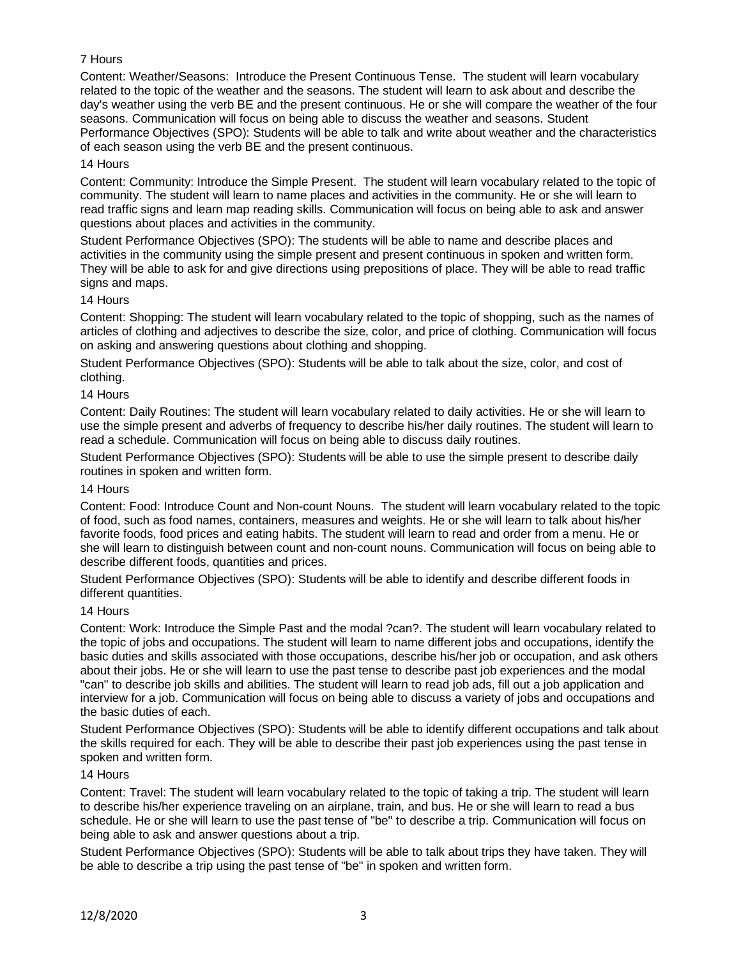# 7 Hours

Content: Weather/Seasons: Introduce the Present Continuous Tense. The student will learn vocabulary related to the topic of the weather and the seasons. The student will learn to ask about and describe the day's weather using the verb BE and the present continuous. He or she will compare the weather of the four seasons. Communication will focus on being able to discuss the weather and seasons. Student Performance Objectives (SPO): Students will be able to talk and write about weather and the characteristics of each season using the verb BE and the present continuous.

## 14 Hours

Content: Community: Introduce the Simple Present. The student will learn vocabulary related to the topic of community. The student will learn to name places and activities in the community. He or she will learn to read traffic signs and learn map reading skills. Communication will focus on being able to ask and answer questions about places and activities in the community.

Student Performance Objectives (SPO): The students will be able to name and describe places and activities in the community using the simple present and present continuous in spoken and written form. They will be able to ask for and give directions using prepositions of place. They will be able to read traffic signs and maps.

# 14 Hours

Content: Shopping: The student will learn vocabulary related to the topic of shopping, such as the names of articles of clothing and adjectives to describe the size, color, and price of clothing. Communication will focus on asking and answering questions about clothing and shopping.

Student Performance Objectives (SPO): Students will be able to talk about the size, color, and cost of clothing.

### 14 Hours

Content: Daily Routines: The student will learn vocabulary related to daily activities. He or she will learn to use the simple present and adverbs of frequency to describe his/her daily routines. The student will learn to read a schedule. Communication will focus on being able to discuss daily routines.

Student Performance Objectives (SPO): Students will be able to use the simple present to describe daily routines in spoken and written form.

#### 14 Hours

Content: Food: Introduce Count and Non-count Nouns. The student will learn vocabulary related to the topic of food, such as food names, containers, measures and weights. He or she will learn to talk about his/her favorite foods, food prices and eating habits. The student will learn to read and order from a menu. He or she will learn to distinguish between count and non-count nouns. Communication will focus on being able to describe different foods, quantities and prices.

Student Performance Objectives (SPO): Students will be able to identify and describe different foods in different quantities.

#### 14 Hours

Content: Work: Introduce the Simple Past and the modal ?can?. The student will learn vocabulary related to the topic of jobs and occupations. The student will learn to name different jobs and occupations, identify the basic duties and skills associated with those occupations, describe his/her job or occupation, and ask others about their jobs. He or she will learn to use the past tense to describe past job experiences and the modal "can" to describe job skills and abilities. The student will learn to read job ads, fill out a job application and interview for a job. Communication will focus on being able to discuss a variety of jobs and occupations and the basic duties of each.

Student Performance Objectives (SPO): Students will be able to identify different occupations and talk about the skills required for each. They will be able to describe their past job experiences using the past tense in spoken and written form.

#### 14 Hours

Content: Travel: The student will learn vocabulary related to the topic of taking a trip. The student will learn to describe his/her experience traveling on an airplane, train, and bus. He or she will learn to read a bus schedule. He or she will learn to use the past tense of "be" to describe a trip. Communication will focus on being able to ask and answer questions about a trip.

Student Performance Objectives (SPO): Students will be able to talk about trips they have taken. They will be able to describe a trip using the past tense of "be" in spoken and written form.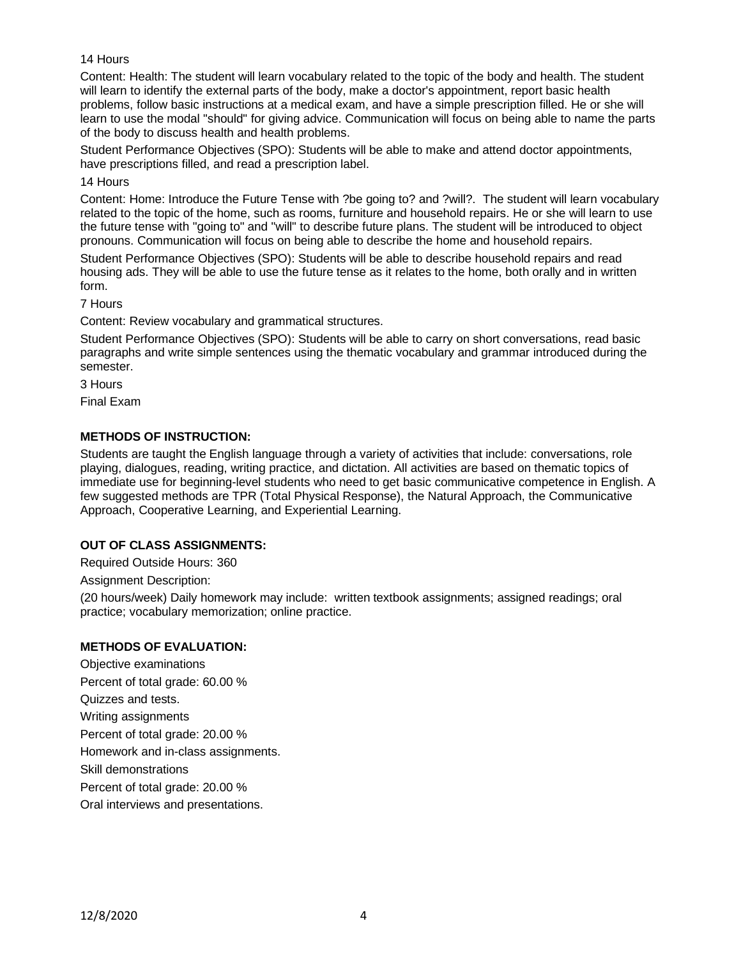## 14 Hours

Content: Health: The student will learn vocabulary related to the topic of the body and health. The student will learn to identify the external parts of the body, make a doctor's appointment, report basic health problems, follow basic instructions at a medical exam, and have a simple prescription filled. He or she will learn to use the modal "should" for giving advice. Communication will focus on being able to name the parts of the body to discuss health and health problems.

Student Performance Objectives (SPO): Students will be able to make and attend doctor appointments, have prescriptions filled, and read a prescription label.

#### 14 Hours

Content: Home: Introduce the Future Tense with ?be going to? and ?will?. The student will learn vocabulary related to the topic of the home, such as rooms, furniture and household repairs. He or she will learn to use the future tense with "going to" and "will" to describe future plans. The student will be introduced to object pronouns. Communication will focus on being able to describe the home and household repairs.

Student Performance Objectives (SPO): Students will be able to describe household repairs and read housing ads. They will be able to use the future tense as it relates to the home, both orally and in written form.

### 7 Hours

Content: Review vocabulary and grammatical structures.

Student Performance Objectives (SPO): Students will be able to carry on short conversations, read basic paragraphs and write simple sentences using the thematic vocabulary and grammar introduced during the semester.

3 Hours

Final Exam

# **METHODS OF INSTRUCTION:**

Students are taught the English language through a variety of activities that include: conversations, role playing, dialogues, reading, writing practice, and dictation. All activities are based on thematic topics of immediate use for beginning-level students who need to get basic communicative competence in English. A few suggested methods are TPR (Total Physical Response), the Natural Approach, the Communicative Approach, Cooperative Learning, and Experiential Learning.

## **OUT OF CLASS ASSIGNMENTS:**

Required Outside Hours: 360

Assignment Description:

(20 hours/week) Daily homework may include: written textbook assignments; assigned readings; oral practice; vocabulary memorization; online practice.

## **METHODS OF EVALUATION:**

Objective examinations Percent of total grade: 60.00 % Quizzes and tests. Writing assignments Percent of total grade: 20.00 % Homework and in-class assignments. Skill demonstrations Percent of total grade: 20.00 % Oral interviews and presentations.